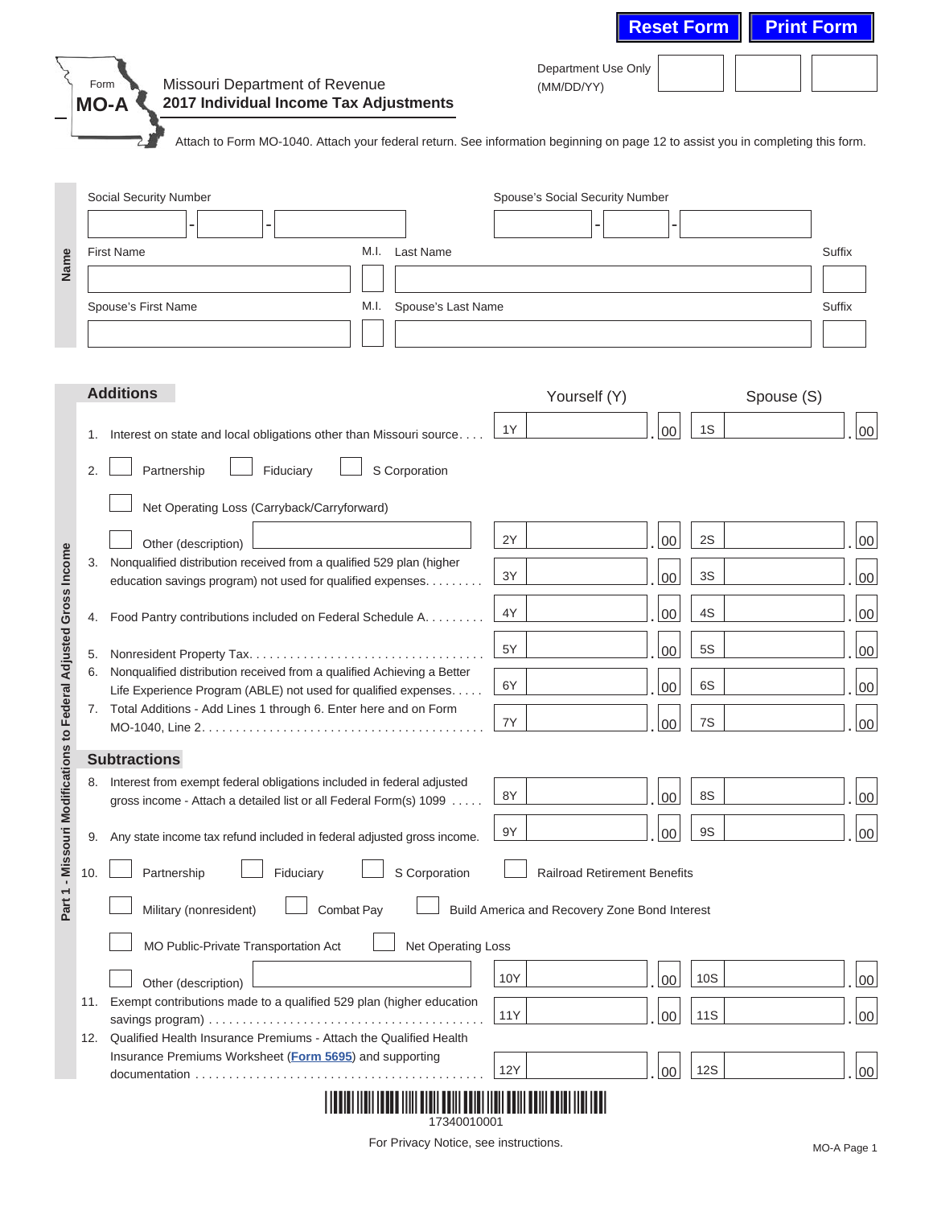|     | Missouri Department of Revenue<br>Form<br>2017 Individual Income Tax Adjustments<br><b>MO-A</b>                                    | Department Use Only<br>(MM/DD/YY)             |    |            |            |
|-----|------------------------------------------------------------------------------------------------------------------------------------|-----------------------------------------------|----|------------|------------|
|     | Attach to Form MO-1040. Attach your federal return. See information beginning on page 12 to assist you in completing this form.    |                                               |    |            |            |
|     | Social Security Number                                                                                                             | Spouse's Social Security Number               |    |            |            |
|     |                                                                                                                                    |                                               |    |            |            |
|     | <b>First Name</b><br>M.I.<br>Last Name                                                                                             |                                               |    |            | Suffix     |
|     |                                                                                                                                    |                                               |    |            |            |
|     | Spouse's First Name<br>Spouse's Last Name<br>M.I.                                                                                  |                                               |    |            | Suffix     |
|     |                                                                                                                                    |                                               |    |            |            |
|     |                                                                                                                                    |                                               |    |            |            |
|     | <b>Additions</b>                                                                                                                   | Yourself (Y)                                  |    |            | Spouse (S) |
| 1.  | Interest on state and local obligations other than Missouri source                                                                 | 1Y                                            | 00 | 1S         |            |
| 2.  | Fiduciary                                                                                                                          |                                               |    |            |            |
|     | Partnership<br>S Corporation                                                                                                       |                                               |    |            |            |
|     | Net Operating Loss (Carryback/Carryforward)                                                                                        |                                               |    |            |            |
|     | Other (description)                                                                                                                | 2Y                                            | 00 | 2S         |            |
| 3.  | Nonqualified distribution received from a qualified 529 plan (higher                                                               | 3Y                                            | 00 | 3S         |            |
|     | education savings program) not used for qualified expenses.                                                                        |                                               |    |            |            |
| 4.  | Food Pantry contributions included on Federal Schedule A.                                                                          | 4Y                                            | 00 | 4S         |            |
| 5.  |                                                                                                                                    | 5Y                                            | 00 | <b>5S</b>  |            |
| 6.  | Nonqualified distribution received from a qualified Achieving a Better                                                             | 6Y                                            | 00 | 6S         |            |
| 7.  | Life Experience Program (ABLE) not used for qualified expenses.<br>Total Additions - Add Lines 1 through 6. Enter here and on Form |                                               |    |            |            |
|     |                                                                                                                                    | 7Y                                            | 00 | 7S         |            |
|     | <b>Subtractions</b>                                                                                                                |                                               |    |            |            |
| 8.  | Interest from exempt federal obligations included in federal adjusted                                                              |                                               |    |            |            |
|     | gross income - Attach a detailed list or all Federal Form(s) 1099                                                                  | 8Y                                            | 00 | 8S         |            |
| 9.  | Any state income tax refund included in federal adjusted gross income.                                                             | 9Y                                            | 00 | <b>9S</b>  |            |
| 10. | S Corporation<br>Partnership<br>Fiduciary                                                                                          | <b>Railroad Retirement Benefits</b>           |    |            |            |
|     |                                                                                                                                    |                                               |    |            |            |
|     | Combat Pay<br>Military (nonresident)                                                                                               | Build America and Recovery Zone Bond Interest |    |            |            |
|     | Net Operating Loss<br>MO Public-Private Transportation Act                                                                         |                                               |    |            |            |
|     | Other (description)                                                                                                                | 10Y                                           | 00 | 10S        |            |
|     | 11. Exempt contributions made to a qualified 529 plan (higher education                                                            |                                               |    |            |            |
|     |                                                                                                                                    | 11Y                                           | 00 | <b>11S</b> |            |
|     | 12. Qualified Health Insurance Premiums - Attach the Qualified Health                                                              |                                               |    |            |            |
|     | Insurance Premiums Worksheet (Form 5695) and supporting                                                                            |                                               |    | 12S        |            |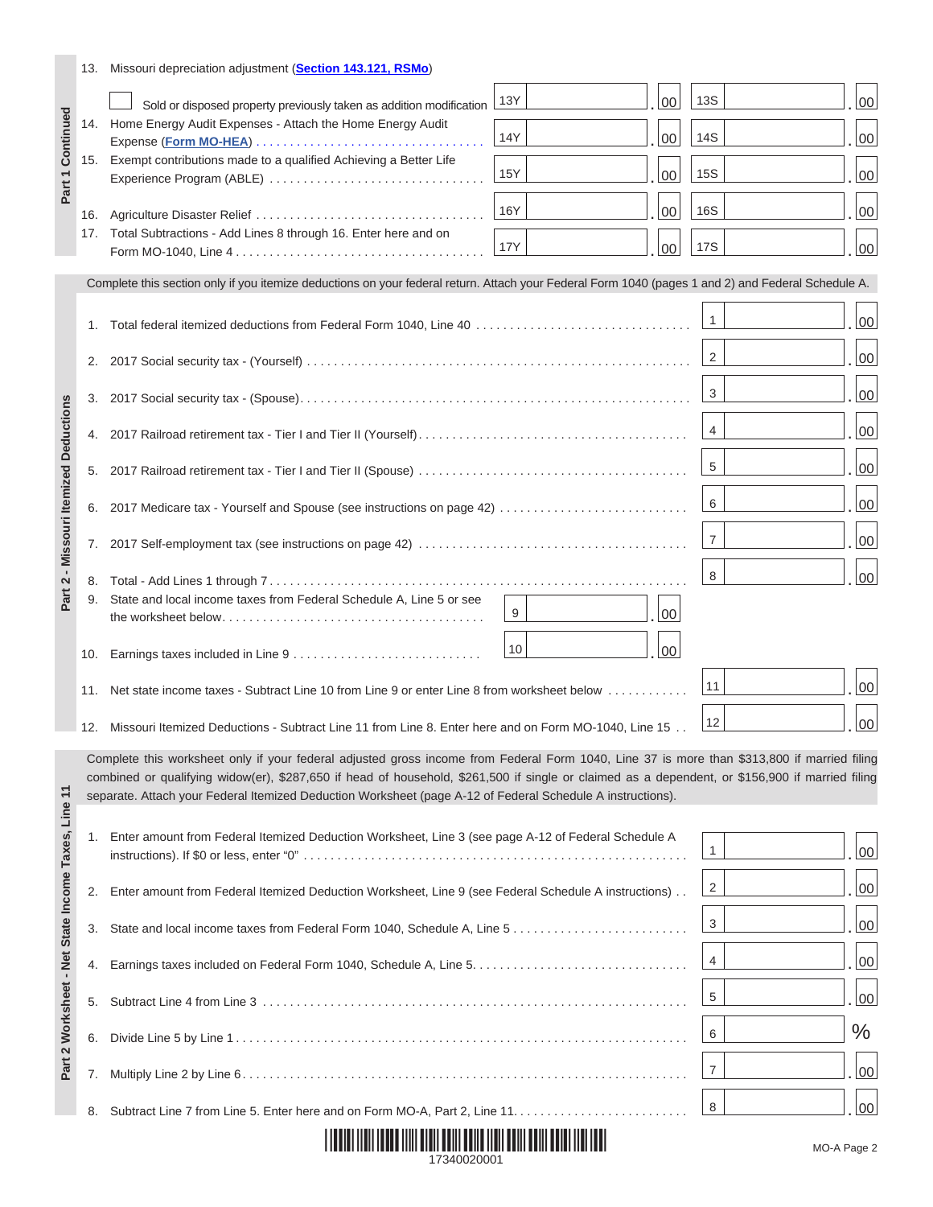|                                                    |     | 13. Missouri depreciation adjustment (Section 143.121, RSMo)                                                                                                                                                                                                                                   |            |    |                |        |
|----------------------------------------------------|-----|------------------------------------------------------------------------------------------------------------------------------------------------------------------------------------------------------------------------------------------------------------------------------------------------|------------|----|----------------|--------|
| Part 1 Continued                                   |     | Sold or disposed property previously taken as addition modification                                                                                                                                                                                                                            | 13Y        | 00 | <b>13S</b>     | $00\,$ |
|                                                    | 14. | Home Energy Audit Expenses - Attach the Home Energy Audit<br>Expense (Form MO-HEA)                                                                                                                                                                                                             | 14Y        | 00 | 14S            | $00\,$ |
|                                                    | 15. | Exempt contributions made to a qualified Achieving a Better Life                                                                                                                                                                                                                               |            |    |                |        |
|                                                    |     | Experience Program (ABLE)                                                                                                                                                                                                                                                                      | 15Y        | 00 | <b>15S</b>     | $00\,$ |
|                                                    | 16. |                                                                                                                                                                                                                                                                                                | 16Y        | 00 | 16S            | 00     |
|                                                    |     | 17. Total Subtractions - Add Lines 8 through 16. Enter here and on                                                                                                                                                                                                                             | <b>17Y</b> | 00 | 17S            | 00     |
|                                                    |     | Complete this section only if you itemize deductions on your federal return. Attach your Federal Form 1040 (pages 1 and 2) and Federal Schedule A.                                                                                                                                             |            |    |                |        |
|                                                    |     |                                                                                                                                                                                                                                                                                                |            |    | $\mathbf{1}$   | $00\,$ |
|                                                    | 1.  | Total federal itemized deductions from Federal Form 1040, Line 40                                                                                                                                                                                                                              |            |    |                |        |
|                                                    | 2.  |                                                                                                                                                                                                                                                                                                |            |    | 2              | 00     |
|                                                    | 3.  |                                                                                                                                                                                                                                                                                                |            |    | 3              | 00     |
|                                                    | 4.  |                                                                                                                                                                                                                                                                                                |            |    | 4              | 00     |
| <b>Missouri Itemized Deductions</b>                | 5.  |                                                                                                                                                                                                                                                                                                |            |    | 5              | 00     |
|                                                    |     |                                                                                                                                                                                                                                                                                                |            |    | 6              | 00     |
|                                                    | 6.  | 2017 Medicare tax - Yourself and Spouse (see instructions on page 42)                                                                                                                                                                                                                          |            |    |                |        |
|                                                    | 7.  |                                                                                                                                                                                                                                                                                                |            |    | $\overline{7}$ | $00\,$ |
| $\mathbf{\Omega}$                                  | 8.  |                                                                                                                                                                                                                                                                                                |            |    | 8              | 00     |
| Part                                               | 9.  | State and local income taxes from Federal Schedule A, Line 5 or see                                                                                                                                                                                                                            | 9          | 00 |                |        |
|                                                    | 10. |                                                                                                                                                                                                                                                                                                | 10         | 00 |                |        |
|                                                    |     |                                                                                                                                                                                                                                                                                                |            |    | 11             | $00\,$ |
|                                                    | 11. | Net state income taxes - Subtract Line 10 from Line 9 or enter Line 8 from worksheet below                                                                                                                                                                                                     |            |    |                |        |
|                                                    |     | 12. Missouri Itemized Deductions - Subtract Line 11 from Line 8. Enter here and on Form MO-1040, Line 15                                                                                                                                                                                       |            |    | 12             | $00\,$ |
|                                                    |     | Complete this worksheet only if your federal adjusted gross income from Federal Form 1040, Line 37 is more than \$313,800 if married filing<br>combined or qualifying widow(er), \$287,650 if head of household, \$261,500 if single or claimed as a dependent, or \$156,900 if married filing |            |    |                |        |
|                                                    |     | separate. Attach your Federal Itemized Deduction Worksheet (page A-12 of Federal Schedule A instructions).                                                                                                                                                                                     |            |    |                |        |
|                                                    | 1.  | Enter amount from Federal Itemized Deduction Worksheet, Line 3 (see page A-12 of Federal Schedule A                                                                                                                                                                                            |            |    |                |        |
| Part 2 Worksheet - Net State Income Taxes, Line 11 |     |                                                                                                                                                                                                                                                                                                |            |    | $\mathbf{1}$   | $00\,$ |
|                                                    | 2.  | Enter amount from Federal Itemized Deduction Worksheet, Line 9 (see Federal Schedule A instructions)                                                                                                                                                                                           |            |    | $\overline{2}$ | 00     |
|                                                    | 3.  |                                                                                                                                                                                                                                                                                                |            |    | $\mathbf{3}$   | 00     |
|                                                    |     |                                                                                                                                                                                                                                                                                                |            |    | $\overline{4}$ |        |
|                                                    | 4.  |                                                                                                                                                                                                                                                                                                |            |    |                | 00     |
|                                                    | 5.  |                                                                                                                                                                                                                                                                                                |            |    | 5              | 00     |
|                                                    | 6.  |                                                                                                                                                                                                                                                                                                |            |    | 6              | $\%$   |
|                                                    | 7.  |                                                                                                                                                                                                                                                                                                |            |    | $\overline{7}$ | 00     |
|                                                    | 8.  |                                                                                                                                                                                                                                                                                                |            |    | 8              | 00     |
|                                                    |     |                                                                                                                                                                                                                                                                                                |            |    |                |        |

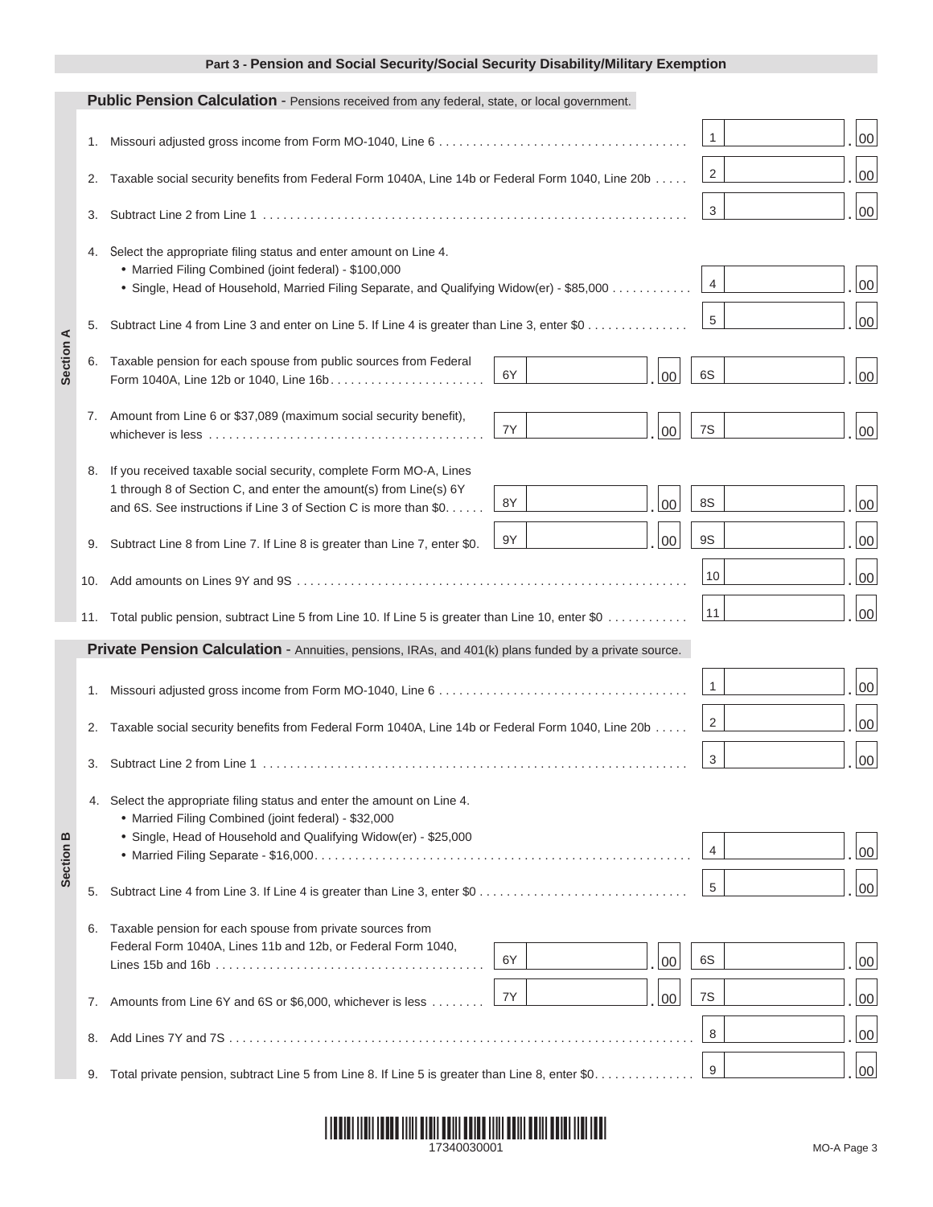## **Part 3 - Pension and Social Security/Social Security Disability/Military Exemption**

|           |     | Public Pension Calculation - Pensions received from any federal, state, or local government.                                                                                                                                                                                            |        |
|-----------|-----|-----------------------------------------------------------------------------------------------------------------------------------------------------------------------------------------------------------------------------------------------------------------------------------------|--------|
|           | 1.  | $\mathbf{1}$                                                                                                                                                                                                                                                                            | 00     |
| Section A | 2.  | 2<br>Taxable social security benefits from Federal Form 1040A, Line 14b or Federal Form 1040, Line 20b                                                                                                                                                                                  | 00     |
|           | 3.  | 3                                                                                                                                                                                                                                                                                       | 00     |
|           |     | 4. Select the appropriate filing status and enter amount on Line 4.<br>• Married Filing Combined (joint federal) - \$100,000<br>$\overline{4}$<br>. Single, Head of Household, Married Filing Separate, and Qualifying Widow(er) - \$85,000                                             | 00     |
|           | 5.  | 5<br>Subtract Line 4 from Line 3 and enter on Line 5. If Line 4 is greater than Line 3, enter \$0                                                                                                                                                                                       | $00\,$ |
|           | 6.  | Taxable pension for each spouse from public sources from Federal<br>6S<br>6Y<br>00<br>Form 1040A, Line 12b or 1040, Line 16b.                                                                                                                                                           | 00     |
|           | 7.  | Amount from Line 6 or \$37,089 (maximum social security benefit),<br>7S<br>7Y<br>00                                                                                                                                                                                                     | $00\,$ |
|           | 8.  | If you received taxable social security, complete Form MO-A, Lines<br>1 through 8 of Section C, and enter the amount(s) from Line(s) 6Y<br><b>8S</b><br>8Y<br>00<br>and 6S. See instructions if Line 3 of Section C is more than \$0                                                    | 00     |
|           | 9.  | <b>9S</b><br>9Y<br>00<br>Subtract Line 8 from Line 7. If Line 8 is greater than Line 7, enter \$0.                                                                                                                                                                                      | 00     |
|           | 10. | 10                                                                                                                                                                                                                                                                                      | 00     |
|           |     | 11<br>11. Total public pension, subtract Line 5 from Line 10. If Line 5 is greater than Line 10, enter \$0                                                                                                                                                                              | 00     |
|           |     | Private Pension Calculation - Annuities, pensions, IRAs, and 401(k) plans funded by a private source.                                                                                                                                                                                   |        |
|           | 1.  | $\mathbf{1}$                                                                                                                                                                                                                                                                            | 00     |
|           | 2.  | 2<br>Taxable social security benefits from Federal Form 1040A, Line 14b or Federal Form 1040, Line 20b                                                                                                                                                                                  | 00     |
|           |     | 3                                                                                                                                                                                                                                                                                       | 00     |
| Section B |     | 4. Select the appropriate filing status and enter the amount on Line 4.<br>• Married Filing Combined (joint federal) - \$32,000<br>• Single, Head of Household and Qualifying Widow(er) - \$25,000<br>4                                                                                 | 00     |
|           | 5.  | 5                                                                                                                                                                                                                                                                                       | 00     |
|           | 6.  | Taxable pension for each spouse from private sources from<br>Federal Form 1040A, Lines 11b and 12b, or Federal Form 1040,<br>6S<br>6Y<br>00<br>Lines 15b and 16b $\ldots$ , $\ldots$ , $\ldots$ , $\ldots$ , $\ldots$ , $\ldots$ , $\ldots$ , $\ldots$ , $\ldots$ , $\ldots$ , $\ldots$ | 00     |
|           | 7.  | 7Y<br>7S<br>00<br>Amounts from Line 6Y and 6S or \$6,000, whichever is less                                                                                                                                                                                                             | 00     |
|           | 8.  | 8                                                                                                                                                                                                                                                                                       | 00     |
|           | 9.  | 9<br>Total private pension, subtract Line 5 from Line 8. If Line 5 is greater than Line 8, enter \$0                                                                                                                                                                                    | 00     |